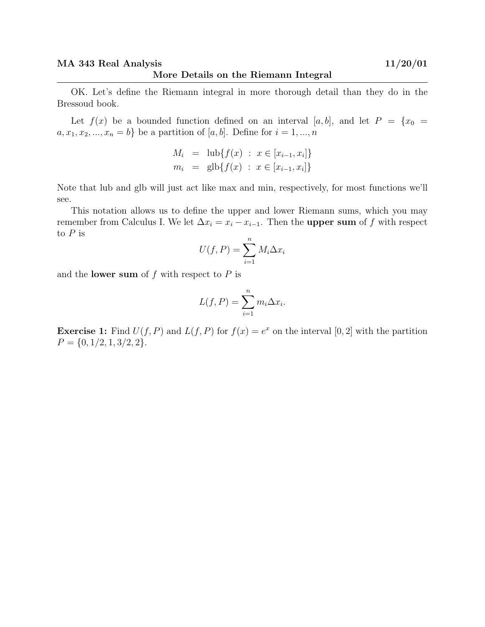OK. Let's define the Riemann integral in more thorough detail than they do in the Bressoud book.

Let  $f(x)$  be a bounded function defined on an interval [a, b], and let  $P = \{x_0 =$  $a, x_1, x_2, ..., x_n = b$  be a partition of [a, b]. Define for  $i = 1, ..., n$ 

$$
M_i = \text{lub}\{f(x) : x \in [x_{i-1}, x_i]\}
$$
  
\n
$$
m_i = \text{glb}\{f(x) : x \in [x_{i-1}, x_i]\}
$$

Note that lub and glb will just act like max and min, respectively, for most functions we'll see.

This notation allows us to define the upper and lower Riemann sums, which you may remember from Calculus I. We let  $\Delta x_i = x_i - x_{i-1}$ . Then the **upper sum** of f with respect to  ${\cal P}$  is

$$
U(f, P) = \sum_{i=1}^{n} M_i \Delta x_i
$$

and the **lower sum** of  $f$  with respect to  $P$  is

$$
L(f, P) = \sum_{i=1}^{n} m_i \Delta x_i.
$$

**Exercise 1:** Find  $U(f, P)$  and  $L(f, P)$  for  $f(x) = e^x$  on the interval [0, 2] with the partition  $P = \{0, 1/2, 1, 3/2, 2\}.$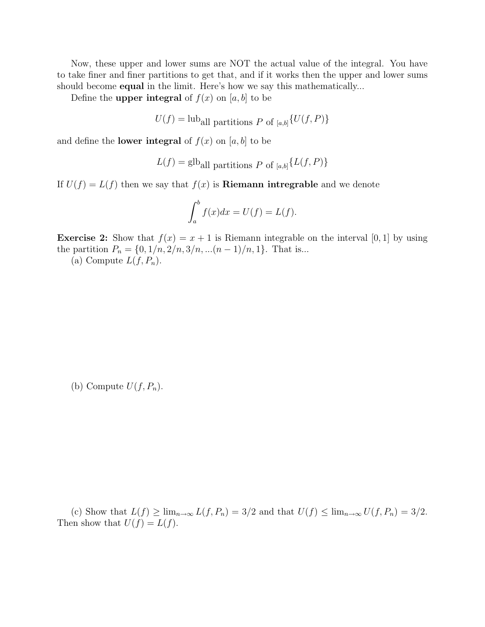Now, these upper and lower sums are NOT the actual value of the integral. You have to take finer and finer partitions to get that, and if it works then the upper and lower sums should become **equal** in the limit. Here's how we say this mathematically...

Define the **upper integral** of  $f(x)$  on [a, b] to be

$$
U(f) = \text{lub}_{all partitions } P \text{ of }_{[a,b]} \{U(f, P)\}
$$

and define the **lower integral** of  $f(x)$  on  $[a, b]$  to be

$$
L(f) = \text{glb}_{all \text{ partitions } P \text{ of } [a,b]} \{L(f,P)\}
$$

If  $U(f) = L(f)$  then we say that  $f(x)$  is **Riemann intregrable** and we denote

$$
\int_a^b f(x)dx = U(f) = L(f).
$$

**Exercise 2:** Show that  $f(x) = x + 1$  is Riemann integrable on the interval [0, 1] by using the partition  $P_n = \{0, 1/n, 2/n, 3/n, \ldots (n-1)/n, 1\}$ . That is...

(a) Compute  $L(f, P_n)$ .

(b) Compute  $U(f, P_n)$ .

(c) Show that  $L(f) \ge \lim_{n \to \infty} L(f, P_n) = 3/2$  and that  $U(f) \le \lim_{n \to \infty} U(f, P_n) = 3/2$ . Then show that  $U(f) = L(f)$ .